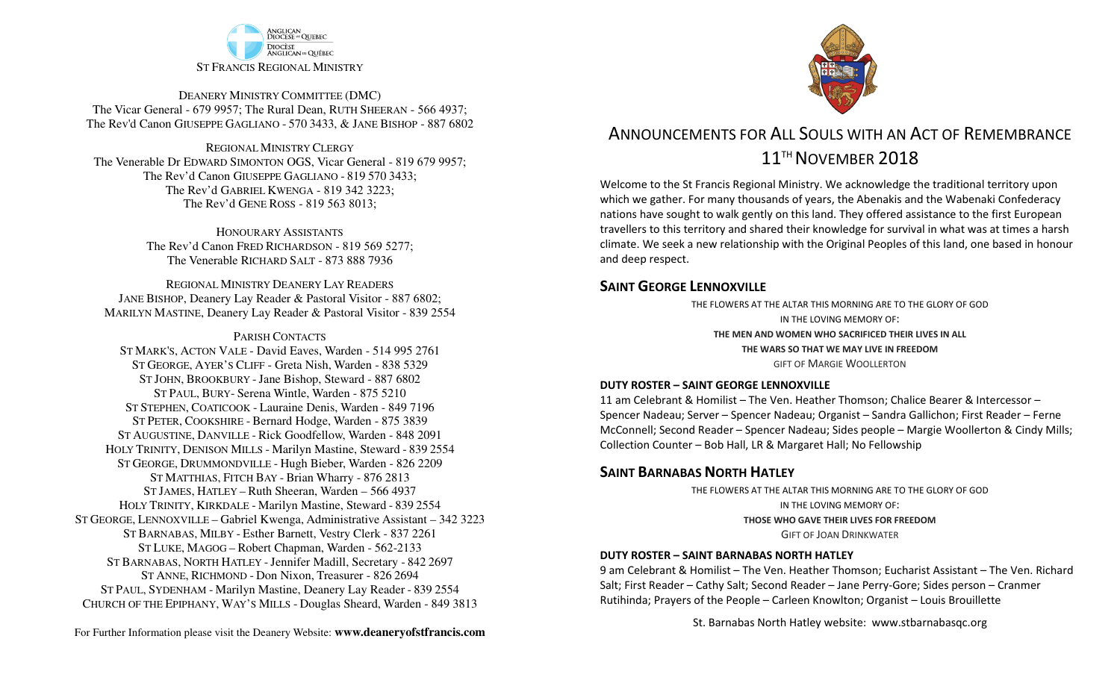

DEANERY MINISTRY COMMITTEE (DMC) The Vicar General - 679 9957; The Rural Dean, RUTH SHEERAN - 566 4937; The Rev'd Canon GIUSEPPE GAGLIANO - <sup>570</sup> 3433, & JANE BISHOP - 887 6802

REGIONAL MINISTRY CLERGY The Venerable Dr EDWARD SIMONTON OGS, Vicar General - 819 679 9957;The Rev'd Canon GIUSEPPE GAGLIANO - <sup>819</sup> <sup>570</sup> 3433; The Rev'd GABRIEL KWENGA - 819 342 3223;The Rev'd GENE ROSS - 819 563 8013;

> HONOURARY ASSISTANTS The Rev'd Canon FRED RICHARDSON - 819 569 5277;The Venerable RICHARD SALT - 873 888 7936

REGIONAL MINISTRY DEANERY LAY READERS JANE BISHOP, Deanery Lay Reader & Pastoral Visitor - 887 6802;MARILYN MASTINE, Deanery Lay Reader & Pastoral Visitor - 839 2554

#### PARISH CONTACTS

 ST MARK'S, ACTON VALE - David Eaves, Warden - 514 995 2761 ST GEORGE, AYER'S CLIFF - Greta Nish, Warden - 838 5329 ST JOHN, BROOKBURY -Jane Bishop, Steward - 887 6802 ST PAUL, BURY- Serena Wintle, Warden - 875 5210 ST STEPHEN, COATICOOK - Lauraine Denis, Warden - 849 7196 ST PETER, COOKSHIRE - Bernard Hodge, Warden - 875 3839 ST AUGUSTINE, DANVILLE - Rick Goodfellow, Warden - 848 2091 HOLY TRINITY, DENISON MILLS - Marilyn Mastine, Steward - <sup>839</sup> <sup>2554</sup> ST GEORGE, DRUMMONDVILLE - Hugh Bieber, Warden - 826 2209 ST MATTHIAS, FITCH BAY - Brian Wharry - 876 2813 ST JAMES, HATLEY – Ruth Sheeran, Warden – 566 4937 HOLY TRINITY, KIRKDALE - Marilyn Mastine, Steward - <sup>839</sup> <sup>2554</sup> ST GEORGE, LENNOXVILLE – Gabriel Kwenga, Administrative Assistant – 342 3223 ST BARNABAS, MILBY - Esther Barnett, Vestry Clerk - 837 2261 ST LUKE, MAGOG – Robert Chapman, Warden - 562-2133 ST BARNABAS, NORTH HATLEY -Jennifer Madill, Secretary - <sup>842</sup> <sup>2697</sup> ST ANNE, RICHMOND - Don Nixon, Treasurer - 826 <sup>2694</sup> ST PAUL, SYDENHAM - Marilyn Mastine, Deanery Lay Reader - <sup>839</sup> <sup>2554</sup> CHURCH OF THE EPIPHANY, WAY'S MILLS - Douglas Sheard, Warden - 849 3813



# ANNOUNCEMENTS FOR ALL SOULS WITH AN ACT OF REMEMBRANCE11<sup>TH</sup> NOVEMBER 2018

Welcome to the St Francis Regional Ministry. We acknowledge the traditional territory upon which we gather. For many thousands of years, the Abenakis and the Wabenaki Confederacy nations have sought to walk gently on this land. They offered assistance to the first European travellers to this territory and shared their knowledge for survival in what was at times a harsh climate. We seek a new relationship with the Original Peoples of this land, one based in honour and deep respect.

#### **SAINT GEORGE LENNOXVILLE**

THE FLOWERS AT THE ALTAR THIS MORNING ARE TO THE GLORY OF GODIN THE LOVING MEMORY OF:**THE MEN AND WOMEN WHO SACRIFICED THEIR LIVES IN ALLTHE WARS SO THAT WE MAY LIVE IN FREEDOM** GIFT OF MARGIE WOOLLERTON

#### **DUTY ROSTER – SAINT GEORGE LENNOXVILLE**

11 am Celebrant & Homilist – The Ven. Heather Thomson; Chalice Bearer & Intercessor – Spencer Nadeau; Server – Spencer Nadeau; Organist – Sandra Gallichon; First Reader – Ferne McConnell; Second Reader – Spencer Nadeau; Sides people – Margie Woollerton & Cindy Mills; Collection Counter – Bob Hall, LR & Margaret Hall; No Fellowship

### **SAINT BARNABAS NORTH HATLEY**

 THE FLOWERS AT THE ALTAR THIS MORNING ARE TO THE GLORY OF GODIN THE LOVING MEMORY OF:**THOSE WHO GAVE THEIR LIVES FOR FREEDOM**GIFT OF JOAN DRINKWATER

#### **DUTY ROSTER – SAINT BARNABAS NORTH HATLEY**

9 am Celebrant & Homilist – The Ven. Heather Thomson; Eucharist Assistant – The Ven. Richard Salt; First Reader – Cathy Salt; Second Reader – Jane Perry-Gore; Sides person – Cranmer Rutihinda; Prayers of the People – Carleen Knowlton; Organist – Louis Brouillette

St. Barnabas North Hatley website: www.stbarnabasqc.org